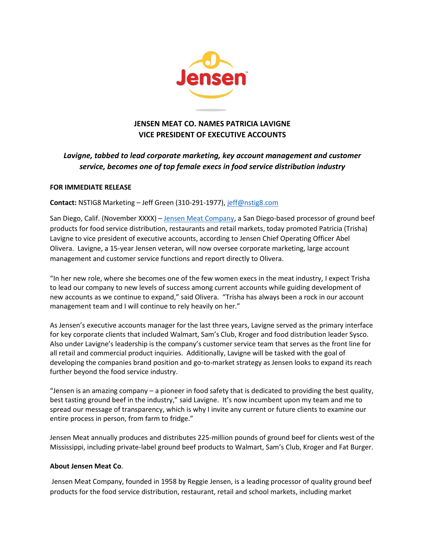

## **JENSEN MEAT CO. NAMES PATRICIA LAVIGNE VICE PRESIDENT OF EXECUTIVE ACCOUNTS**

## *Lavigne, tabbed to lead corporate marketing, key account management and customer service, becomes one of top female execs in food service distribution industry*

## **FOR IMMEDIATE RELEASE**

**Contact:** NSTIG8 Marketing – Jeff Green (310-291-1977), [jeff@nstig8.com](mailto:jeff@nstig8.com)

San Diego, Calif. (November XXXX) – [Jensen Meat Company,](http://www.jensenmeat.com/) a San Diego-based processor of ground beef products for food service distribution, restaurants and retail markets, today promoted Patricia (Trisha) Lavigne to vice president of executive accounts, according to Jensen Chief Operating Officer Abel Olivera. Lavigne, a 15-year Jensen veteran, will now oversee corporate marketing, large account management and customer service functions and report directly to Olivera.

"In her new role, where she becomes one of the few women execs in the meat industry, I expect Trisha to lead our company to new levels of success among current accounts while guiding development of new accounts as we continue to expand," said Olivera. "Trisha has always been a rock in our account management team and I will continue to rely heavily on her."

As Jensen's executive accounts manager for the last three years, Lavigne served as the primary interface for key corporate clients that included Walmart, Sam's Club, Kroger and food distribution leader Sysco. Also under Lavigne's leadership is the company's customer service team that serves as the front line for all retail and commercial product inquiries. Additionally, Lavigne will be tasked with the goal of developing the companies brand position and go-to-market strategy as Jensen looks to expand its reach further beyond the food service industry.

"Jensen is an amazing company – a pioneer in food safety that is dedicated to providing the best quality, best tasting ground beef in the industry," said Lavigne. It's now incumbent upon my team and me to spread our message of transparency, which is why I invite any current or future clients to examine our entire process in person, from farm to fridge."

Jensen Meat annually produces and distributes 225-million pounds of ground beef for clients west of the Mississippi, including private-label ground beef products to Walmart, Sam's Club, Kroger and Fat Burger.

## **About Jensen Meat Co**.

Jensen Meat Company, founded in 1958 by Reggie Jensen, is a leading processor of quality ground beef products for the food service distribution, restaurant, retail and school markets, including market